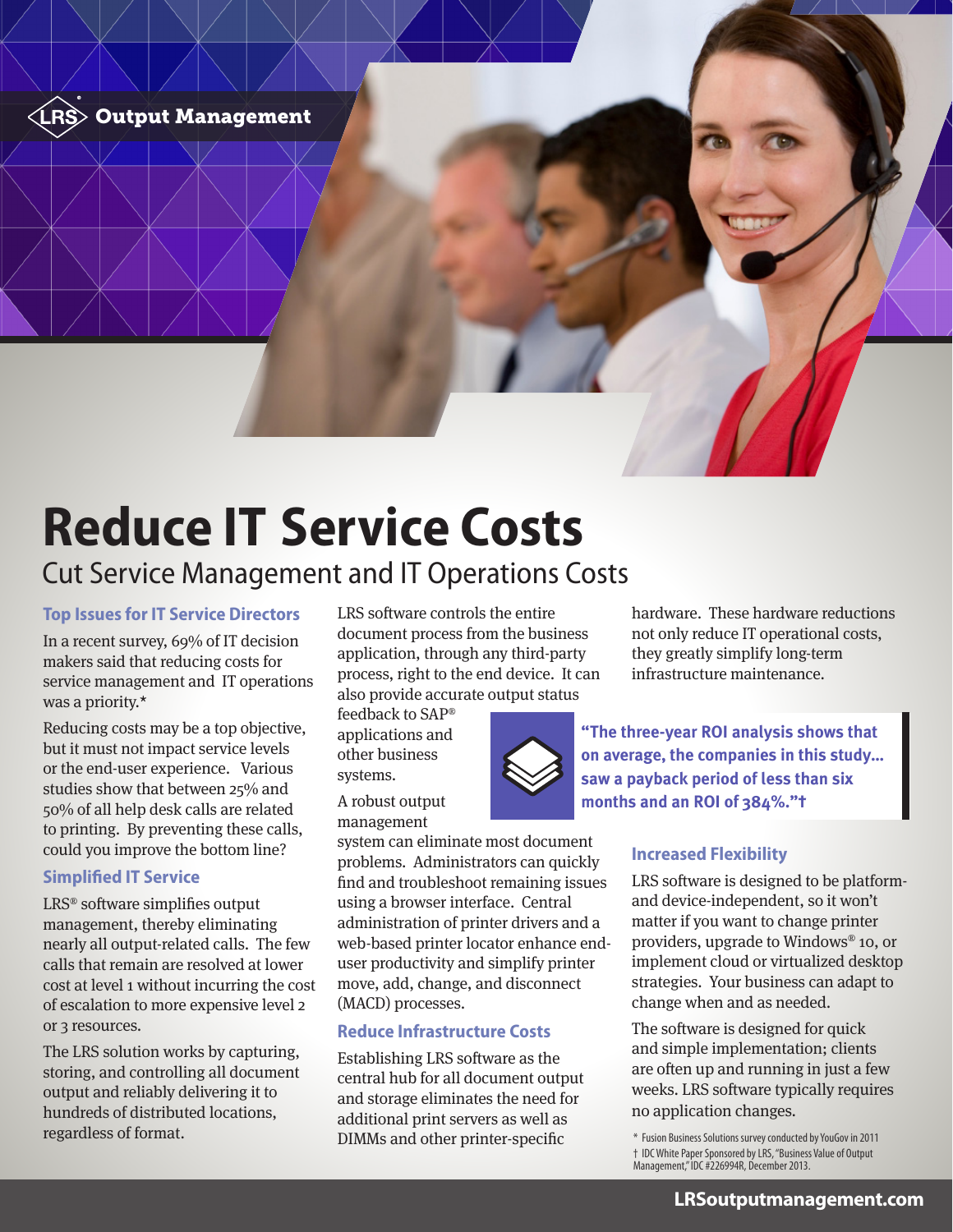

# **Reduce IT Service Costs** Cut Service Management and IT Operations Costs

#### **Top Issues for IT Service Directors**

In a recent survey, 69% of IT decision makers said that reducing costs for service management and IT operations was a priority.\*

Reducing costs may be a top objective, but it must not impact service levels or the end-user experience. Various studies show that between 25% and 50% of all help desk calls are related to printing. By preventing these calls, could you improve the bottom line?

#### **Simplified IT Service**

LRS® software simplifies output management, thereby eliminating nearly all output-related calls. The few calls that remain are resolved at lower cost at level 1 without incurring the cost of escalation to more expensive level 2 or 3 resources.

The LRS solution works by capturing, storing, and controlling all document output and reliably delivering it to hundreds of distributed locations, regardless of format.

LRS software controls the entire document process from the business application, through any third-party process, right to the end device. It can also provide accurate output status

feedback to SAP® applications and other business systems.

A robust output management

system can eliminate most document problems. Administrators can quickly find and troubleshoot remaining issues using a browser interface. Central administration of printer drivers and a web-based printer locator enhance enduser productivity and simplify printer move, add, change, and disconnect (MACD) processes.

#### **Reduce Infrastructure Costs**

Establishing LRS software as the central hub for all document output and storage eliminates the need for additional print servers as well as DIMMs and other printer-specific

hardware. These hardware reductions not only reduce IT operational costs, they greatly simplify long-term infrastructure maintenance.

**"The three-year ROI analysis shows that on average, the companies in this study… saw a payback period of less than six**  months and an ROI of 384%."<sup>+</sup>

#### **Increased Flexibility**

LRS software is designed to be platformand device-independent, so it won't matter if you want to change printer providers, upgrade to Windows® 10, or implement cloud or virtualized desktop strategies. Your business can adapt to change when and as needed.

The software is designed for quick and simple implementation; clients are often up and running in just a few weeks. LRS software typically requires no application changes.

\* Fusion Business Solutions survey conducted by YouGov in 2011 † IDC White Paper Sponsored by LRS, "Business Value of Output Management," IDC #226994R, December 2013.